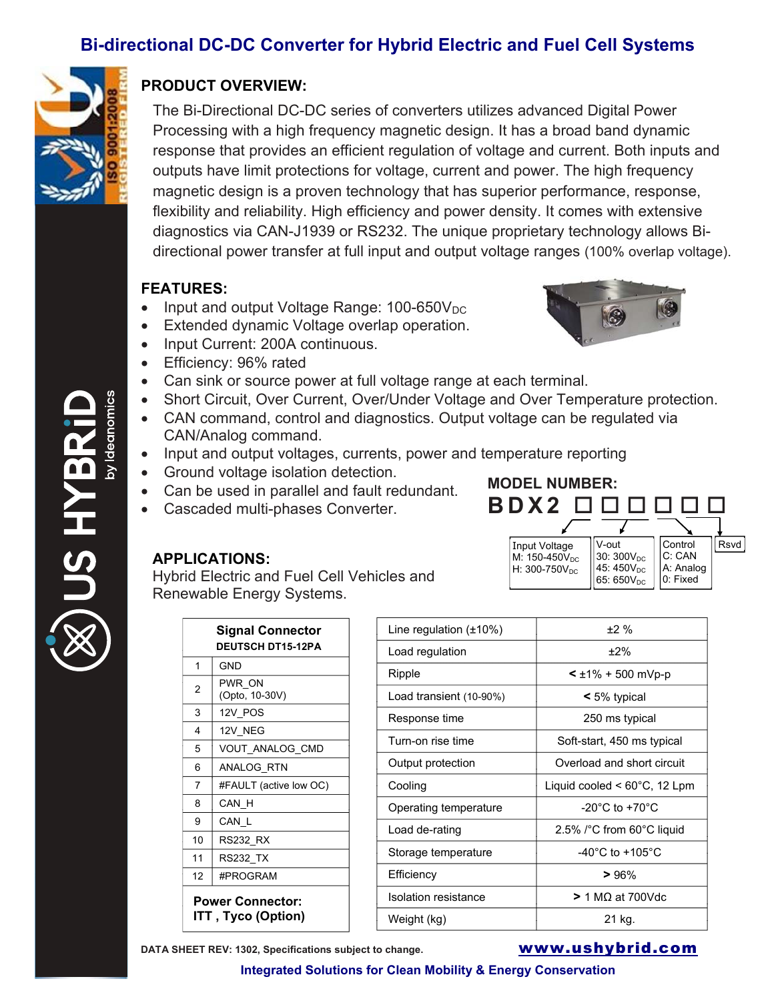## **Bi-directional DC-DC Converter for Hybrid Electric and Fuel Cell Systems**



## **PRODUCT OVERVIEW:**

The Bi-Directional DC-DC series of converters utilizes advanced Digital Power Processing with a high frequency magnetic design. It has a broad band dynamic response that provides an efficient regulation of voltage and current. Both inputs and outputs have limit protections for voltage, current and power. The high frequency magnetic design is a proven technology that has superior performance, response, flexibility and reliability. High efficiency and power density. It comes with extensive diagnostics via CAN-J1939 or RS232. The unique proprietary technology allows Bidirectional power transfer at full input and output voltage ranges (100% overlap voltage).

## **FEATURES:**

- Input and output Voltage Range:  $100-650V_{DC}$
- Extended dynamic Voltage overlap operation.
- x Input Current: 200A continuous.
- Efficiency: 96% rated
- Can sink or source power at full voltage range at each terminal.
- Short Circuit, Over Current, Over/Under Voltage and Over Temperature protection.
- CAN command, control and diagnostics. Output voltage can be regulated via CAN/Analog command.
- Input and output voltages, currents, power and temperature reporting
- Ground voltage isolation detection.
- Can be used in parallel and fault redundant.
- Cascaded multi-phases Converter.



Hybrid Electric and Fuel Cell Vehicles and Renewable Energy Systems.

| <b>Signal Connector</b><br><b>DEUTSCH DT15-12PA</b> |                          |  |
|-----------------------------------------------------|--------------------------|--|
| 1                                                   | <b>GND</b>               |  |
| 2                                                   | PWR ON<br>(Opto, 10-30V) |  |
| 3                                                   | 12V POS                  |  |
| 4                                                   | 12V NEG                  |  |
| 5                                                   | VOUT ANALOG CMD          |  |
| 6                                                   | ANALOG RTN               |  |
| 7                                                   | #FAULT (active low OC)   |  |
| 8                                                   | CAN H                    |  |
| 9                                                   | CAN L                    |  |
| 10                                                  | RS232 RX                 |  |
| 11                                                  | RS232_TX                 |  |
| 12                                                  | #PROGRAM                 |  |
| <b>Power Connector:</b><br>ITT , Tyco (Option)      |                          |  |

| Line regulation $(\pm 10\%)$ | ±2%                                                 |
|------------------------------|-----------------------------------------------------|
| Load regulation              | $±2\%$                                              |
| Ripple                       | $\leq \pm 1\% + 500$ mVp-p                          |
| Load transient (10-90%)      | $\leq 5\%$ typical                                  |
| Response time                | 250 ms typical                                      |
| Turn-on rise time            | Soft-start, 450 ms typical                          |
| Output protection            | Overload and short circuit                          |
| Cooling                      | Liquid cooled $\leq 60^{\circ}$ C, 12 Lpm           |
| Operating temperature        | $-20^{\circ}$ C to $+70^{\circ}$ C                  |
| Load de-rating               | 2.5% $\textdegree$ C from 60 $\textdegree$ C liquid |
| Storage temperature          | -40 $^{\circ}$ C to +105 $^{\circ}$ C               |
| Efficiency                   | >96%                                                |
| Isolation resistance         | $>$ 1 MQ at 700Vdc                                  |
| Weight (kg)                  | 21 kg.                                              |

Input Voltage  $M: 150-450V_{DC}$ H:  $300 - 750V_{DC}$ 

**BDX2**

**MODEL NUMBER:** 





V-out 30: 300 $\mathsf{V}_\mathsf{DC}$  $45:450V_{DC}$  $|65:650\mathsf{V}_{\mathsf{DC}}|$ 

Control ||Rsvd

C: CAN A: Analog 0: Fixed

**Integrated Solutions for Clean Mobility & Energy Conservation**